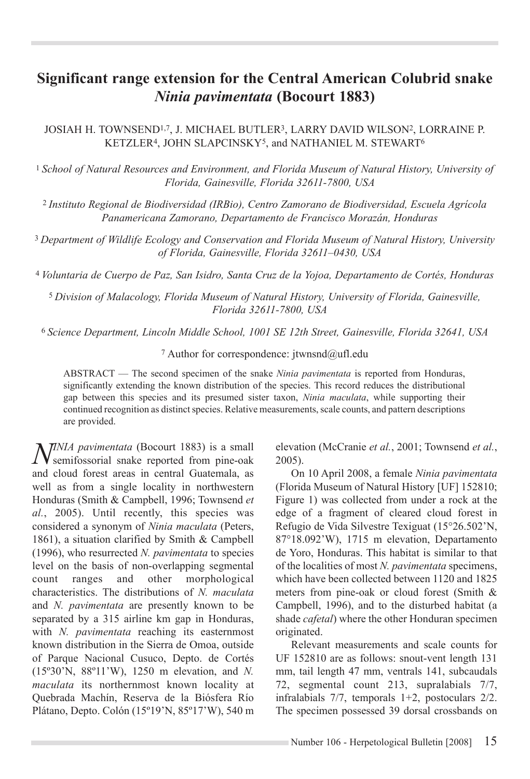## **Significant range extension for the Central American Colubrid snake**  *Ninia pavimentata* **(Bocourt 1883)**

JOSIAH H. TOWNSEND1,7, J. MICHAEL BUTLER3, LARRY DAVID WILSON2, LORRAINE P. KETZLER4, JOHN SLAPCINSKY5, and NATHANIEL M. STEWART6

<sup>1</sup>*School of Natural Resources and Environment, and Florida Museum of Natural History, University of Florida, Gainesville, Florida 32611-7800, USA*

<sup>2</sup>*Instituto Regional de Biodiversidad (IRBio), Centro Zamorano de Biodiversidad, Escuela Agrícola Panamericana Zamorano, Departamento de Francisco Morazán, Honduras*

<sup>3</sup>*Department of Wildlife Ecology and Conservation and Florida Museum of Natural History, University of Florida, Gainesville, Florida 32611–0430, USA*

<sup>4</sup>*Voluntaria de Cuerpo de Paz, San Isidro, Santa Cruz de la Yojoa, Departamento de Cortés, Honduras*

<sup>5</sup>*Division of Malacology, Florida Museum of Natural History, University of Florida, Gainesville, Florida 32611-7800, USA*

<sup>6</sup>*Science Department, Lincoln Middle School, 1001 SE 12th Street, Gainesville, Florida 32641, USA*

<sup>7</sup> Author for correspondence: jtwnsnd@ufl.edu

ABSTRACT — The second specimen of the snake *Ninia pavimentata* is reported from Honduras, significantly extending the known distribution of the species. This record reduces the distributional gap between this species and its presumed sister taxon, *Ninia maculata*, while supporting their continued recognition as distinct species. Relative measurements, scale counts, and pattern descriptions are provided.

*NINIA pavimentata* (Bocourt 1883) is a small<br>
semifossorial snake reported from pine-oak and cloud forest areas in central Guatemala, as well as from a single locality in northwestern Honduras (Smith & Campbell, 1996; Townsend *et al.*, 2005). Until recently, this species was considered a synonym of *Ninia maculata* (Peters, 1861), a situation clarified by Smith & Campbell (1996), who resurrected *N. pavimentata* to species level on the basis of non-overlapping segmental count ranges and other morphological characteristics. The distributions of *N. maculata* and *N. pavimentata* are presently known to be separated by a 315 airline km gap in Honduras, with *N. pavimentata* reaching its easternmost known distribution in the Sierra de Omoa, outside of Parque Nacional Cusuco, Depto. de Cortés (15º30'N, 88º11'W), 1250 m elevation, and *N. maculata* its northernmost known locality at Quebrada Machín, Reserva de la Biósfera Río Plátano, Depto. Colón (15º19'N, 85º17'W), 540 m

elevation (McCranie *et al.*, 2001; Townsend *et al.*, 2005).

On 10 April 2008, a female *Ninia pavimentata* (Florida Museum of Natural History [UF] 152810; Figure 1) was collected from under a rock at the edge of a fragment of cleared cloud forest in Refugio de Vida Silvestre Texiguat (15°26.502'N, 87°18.092'W), 1715 m elevation, Departamento de Yoro, Honduras. This habitat is similar to that of the localities of most *N. pavimentata* specimens, which have been collected between 1120 and 1825 meters from pine-oak or cloud forest (Smith & Campbell, 1996), and to the disturbed habitat (a shade *cafetal*) where the other Honduran specimen originated.

Relevant measurements and scale counts for UF 152810 are as follows: snout-vent length 131 mm, tail length 47 mm, ventrals 141, subcaudals 72, segmental count 213, supralabials 7/7, infralabials 7/7, temporals 1+2, postoculars 2/2. The specimen possessed 39 dorsal crossbands on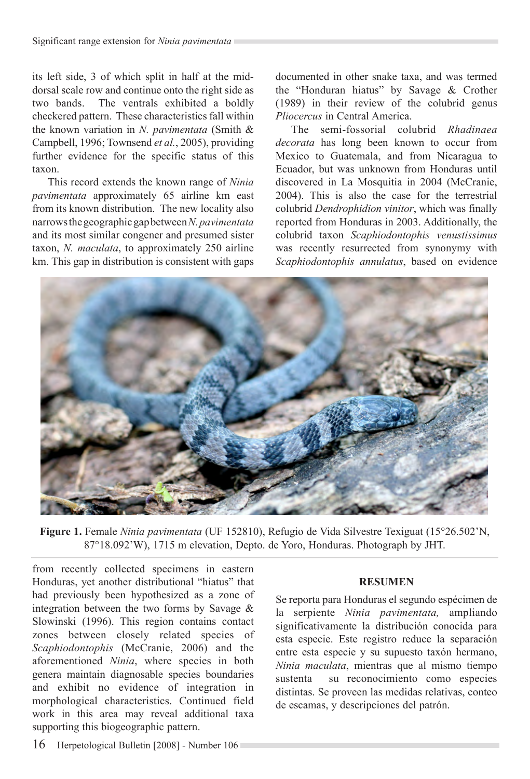its left side, 3 of which split in half at the middorsal scale row and continue onto the right side as two bands. The ventrals exhibited a boldly checkered pattern. These characteristics fall within the known variation in *N. pavimentata* (Smith & Campbell, 1996; Townsend *et al.*, 2005), providing further evidence for the specific status of this taxon.

This record extends the known range of *Ninia pavimentata* approximately 65 airline km east from its known distribution. The new locality also narrows the geographic gap between *N. pavimentata*  and its most similar congener and presumed sister taxon, *N. maculata*, to approximately 250 airline km. This gap in distribution is consistent with gaps documented in other snake taxa, and was termed the "Honduran hiatus" by Savage & Crother (1989) in their review of the colubrid genus *Pliocercus* in Central America.

The semi-fossorial colubrid *Rhadinaea decorata* has long been known to occur from Mexico to Guatemala, and from Nicaragua to Ecuador, but was unknown from Honduras until discovered in La Mosquitia in 2004 (McCranie, 2004). This is also the case for the terrestrial colubrid *Dendrophidion vinitor*, which was finally reported from Honduras in 2003. Additionally, the colubrid taxon *Scaphiodontophis venustissimus* was recently resurrected from synonymy with *Scaphiodontophis annulatus*, based on evidence



**Figure 1.** Female *Ninia pavimentata* (UF 152810), Refugio de Vida Silvestre Texiguat (15°26.502'N, 87°18.092'W), 1715 m elevation, Depto. de Yoro, Honduras. Photograph by JHT.

from recently collected specimens in eastern Honduras, yet another distributional "hiatus" that had previously been hypothesized as a zone of integration between the two forms by Savage & Slowinski (1996). This region contains contact zones between closely related species of *Scaphiodontophis* (McCranie, 2006) and the aforementioned *Ninia*, where species in both genera maintain diagnosable species boundaries and exhibit no evidence of integration in morphological characteristics. Continued field work in this area may reveal additional taxa supporting this biogeographic pattern.

## **RESUMEN**

Se reporta para Honduras el segundo espécimen de la serpiente *Ninia pavimentata,* ampliando significativamente la distribución conocida para esta especie. Este registro reduce la separación entre esta especie y su supuesto taxón hermano, *Ninia maculata*, mientras que al mismo tiempo sustenta su reconocimiento como especies distintas. Se proveen las medidas relativas, conteo de escamas, y descripciones del patrón.